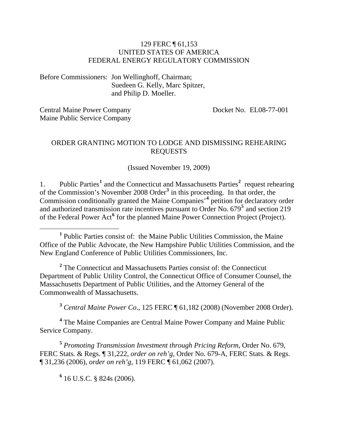#### 129 FERC ¶ 61,153 UNITED STATES OF AMERICA FEDERAL ENERGY REGULATORY COMMISSION

Before Commissioners: Jon Wellinghoff, Chairman; Suedeen G. Kelly, Marc Spitzer, and Philip D. Moeller.

Central Maine Power Company Maine Public Service Company Docket No. EL08-77-001

#### ORDER GRANTING MOTION TO LODGE AND DISMISSING REHEARING REQUESTS

(Issued November 19, 2009)

[1](#page-0-0). Public Parties<sup>1</sup> and the Connecticut and Massachusetts Parties<sup>[2](#page-0-1)</sup> request rehearing of the Commission's November 2008 Order**[3](#page-0-2)** in this proceeding. In that order, the Commission conditionally granted the Maine Companies'**[4](#page-0-3)** petition for declaratory order and authorized transmission rate incentives pursuant to Order No. 679**[5](#page-0-4)** and section 219 of the Federal Power Act<sup>[6](#page-0-5)</sup> for the planned Maine Power Connection Project (Project).

<span id="page-0-1"></span><sup>2</sup> The Connecticut and Massachusetts Parties consist of: the Connecticut Department of Public Utility Control, the Connecticut Office of Consumer Counsel, the Massachusetts Department of Public Utilities, and the Attorney General of the Commonwealth of Massachusetts.

**<sup>3</sup>** *Central Maine Power Co*., 125 FERC ¶ 61,182 (2008) (November 2008 Order).

<span id="page-0-3"></span><span id="page-0-2"></span><sup>4</sup> The Maine Companies are Central Maine Power Company and Maine Public Service Company.

<span id="page-0-5"></span><span id="page-0-4"></span>**<sup>5</sup>** *Promoting Transmission Investment through Pricing Reform*, Order No. 679, FERC Stats. & Regs. ¶ 31,222, *order on reh'g*, Order No. 679-A, FERC Stats. & Regs. ¶ 31,236 (2006), *order on reh'g*, 119 FERC ¶ 61,062 (2007).

**6** 16 U.S.C. § 824s (2006).

<span id="page-0-0"></span><sup>&</sup>lt;u>1</u> <sup>1</sup> Public Parties consist of: the Maine Public Utilities Commission, the Maine Office of the Public Advocate, the New Hampshire Public Utilities Commission, and the New England Conference of Public Utilities Commissioners, Inc.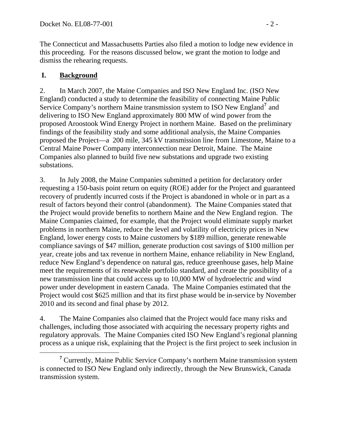The Connecticut and Massachusetts Parties also filed a motion to lodge new evidence in this proceeding. For the reasons discussed below, we grant the motion to lodge and dismiss the rehearing requests.

### **I. Background**

2. In March 2007, the Maine Companies and ISO New England Inc. (ISO New England) conducted a study to determine the feasibility of connecting Maine Public Service Company's northern Maine transmission system to ISO New England<sup>[7](#page-1-0)</sup> and delivering to ISO New England approximately 800 MW of wind power from the proposed Aroostook Wind Energy Project in northern Maine. Based on the preliminary findings of the feasibility study and some additional analysis, the Maine Companies proposed the Project—a 200 mile, 345 kV transmission line from Limestone, Maine to a Central Maine Power Company interconnection near Detroit, Maine. The Maine Companies also planned to build five new substations and upgrade two existing substations.

3. In July 2008, the Maine Companies submitted a petition for declaratory order requesting a 150-basis point return on equity (ROE) adder for the Project and guaranteed recovery of prudently incurred costs if the Project is abandoned in whole or in part as a result of factors beyond their control (abandonment). The Maine Companies stated that the Project would provide benefits to northern Maine and the New England region. The Maine Companies claimed, for example, that the Project would eliminate supply market problems in northern Maine, reduce the level and volatility of electricity prices in New England, lower energy costs to Maine customers by \$189 million, generate renewable compliance savings of \$47 million, generate production cost savings of \$100 million per year, create jobs and tax revenue in northern Maine, enhance reliability in New England, reduce New England's dependence on natural gas, reduce greenhouse gases, help Maine meet the requirements of its renewable portfolio standard, and create the possibility of a new transmission line that could access up to 10,000 MW of hydroelectric and wind power under development in eastern Canada. The Maine Companies estimated that the Project would cost \$625 million and that its first phase would be in-service by November 2010 and its second and final phase by 2012.

4. The Maine Companies also claimed that the Project would face many risks and challenges, including those associated with acquiring the necessary property rights and regulatory approvals. The Maine Companies cited ISO New England's regional planning process as a unique risk, explaining that the Project is the first project to seek inclusion in

<span id="page-1-0"></span>**<sup>7</sup>**  $7$  Currently, Maine Public Service Company's northern Maine transmission system is connected to ISO New England only indirectly, through the New Brunswick, Canada transmission system.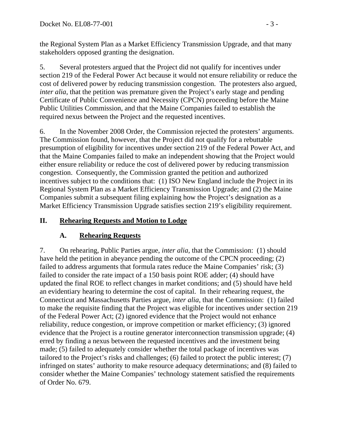the Regional System Plan as a Market Efficiency Transmission Upgrade, and that many stakeholders opposed granting the designation.

5. Several protesters argued that the Project did not qualify for incentives under section 219 of the Federal Power Act because it would not ensure reliability or reduce the cost of delivered power by reducing transmission congestion. The protesters also argued, *inter alia*, that the petition was premature given the Project's early stage and pending Certificate of Public Convenience and Necessity (CPCN) proceeding before the Maine Public Utilities Commission, and that the Maine Companies failed to establish the required nexus between the Project and the requested incentives.

6. In the November 2008 Order, the Commission rejected the protesters' arguments. The Commission found, however, that the Project did not qualify for a rebuttable presumption of eligibility for incentives under section 219 of the Federal Power Act, and that the Maine Companies failed to make an independent showing that the Project would either ensure reliability or reduce the cost of delivered power by reducing transmission congestion. Consequently, the Commission granted the petition and authorized incentives subject to the conditions that: (1) ISO New England include the Project in its Regional System Plan as a Market Efficiency Transmission Upgrade; and (2) the Maine Companies submit a subsequent filing explaining how the Project's designation as a Market Efficiency Transmission Upgrade satisfies section 219's eligibility requirement.

# **II. Rehearing Requests and Motion to Lodge**

# **A. Rehearing Requests**

7. On rehearing, Public Parties argue, *inter alia*, that the Commission: (1) should have held the petition in abeyance pending the outcome of the CPCN proceeding; (2) failed to address arguments that formula rates reduce the Maine Companies' risk; (3) failed to consider the rate impact of a 150 basis point ROE adder; (4) should have updated the final ROE to reflect changes in market conditions; and (5) should have held an evidentiary hearing to determine the cost of capital. In their rehearing request, the Connecticut and Massachusetts Parties argue, *inter alia*, that the Commission: (1) failed to make the requisite finding that the Project was eligible for incentives under section 219 of the Federal Power Act; (2) ignored evidence that the Project would not enhance reliability, reduce congestion, or improve competition or market efficiency; (3) ignored evidence that the Project is a routine generator interconnection transmission upgrade; (4) erred by finding a nexus between the requested incentives and the investment being made; (5) failed to adequately consider whether the total package of incentives was tailored to the Project's risks and challenges; (6) failed to protect the public interest; (7) infringed on states' authority to make resource adequacy determinations; and (8) failed to consider whether the Maine Companies' technology statement satisfied the requirements of Order No. 679.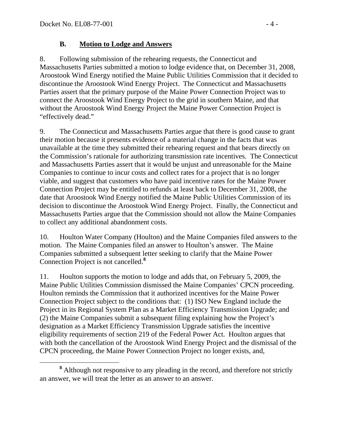### **B. Motion to Lodge and Answers**

8. Following submission of the rehearing requests, the Connecticut and Massachusetts Parties submitted a motion to lodge evidence that, on December 31, 2008, Aroostook Wind Energy notified the Maine Public Utilities Commission that it decided to discontinue the Aroostook Wind Energy Project. The Connecticut and Massachusetts Parties assert that the primary purpose of the Maine Power Connection Project was to connect the Aroostook Wind Energy Project to the grid in southern Maine, and that without the Aroostook Wind Energy Project the Maine Power Connection Project is "effectively dead."

9. The Connecticut and Massachusetts Parties argue that there is good cause to grant their motion because it presents evidence of a material change in the facts that was unavailable at the time they submitted their rehearing request and that bears directly on the Commission's rationale for authorizing transmission rate incentives. The Connecticut and Massachusetts Parties assert that it would be unjust and unreasonable for the Maine Companies to continue to incur costs and collect rates for a project that is no longer viable, and suggest that customers who have paid incentive rates for the Maine Power Connection Project may be entitled to refunds at least back to December 31, 2008, the date that Aroostook Wind Energy notified the Maine Public Utilities Commission of its decision to discontinue the Aroostook Wind Energy Project. Finally, the Connecticut and Massachusetts Parties argue that the Commission should not allow the Maine Companies to collect any additional abandonment costs.

10. Houlton Water Company (Houlton) and the Maine Companies filed answers to the motion. The Maine Companies filed an answer to Houlton's answer. The Maine Companies submitted a subsequent letter seeking to clarify that the Maine Power Connection Project is not cancelled.**[8](#page-3-0)**

11. Houlton supports the motion to lodge and adds that, on February 5, 2009, the Maine Public Utilities Commission dismissed the Maine Companies' CPCN proceeding. Houlton reminds the Commission that it authorized incentives for the Maine Power Connection Project subject to the conditions that: (1) ISO New England include the Project in its Regional System Plan as a Market Efficiency Transmission Upgrade; and (2) the Maine Companies submit a subsequent filing explaining how the Project's designation as a Market Efficiency Transmission Upgrade satisfies the incentive eligibility requirements of section 219 of the Federal Power Act. Houlton argues that with both the cancellation of the Aroostook Wind Energy Project and the dismissal of the CPCN proceeding, the Maine Power Connection Project no longer exists, and,

<span id="page-3-0"></span>**<sup>8</sup>** <sup>8</sup> Although not responsive to any pleading in the record, and therefore not strictly an answer, we will treat the letter as an answer to an answer.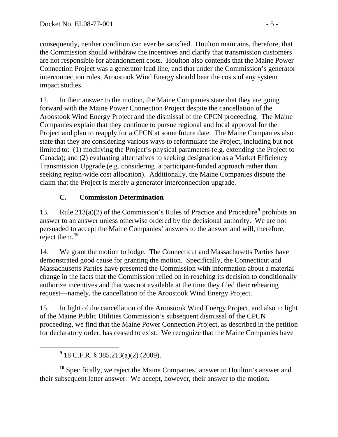consequently, neither condition can ever be satisfied. Houlton maintains, therefore, that the Commission should withdraw the incentives and clarify that transmission customers are not responsible for abandonment costs. Houlton also contends that the Maine Power Connection Project was a generator lead line, and that under the Commission's generator interconnection rules, Aroostook Wind Energy should bear the costs of any system impact studies.

12. In their answer to the motion, the Maine Companies state that they are going forward with the Maine Power Connection Project despite the cancellation of the Aroostook Wind Energy Project and the dismissal of the CPCN proceeding. The Maine Companies explain that they continue to pursue regional and local approval for the Project and plan to reapply for a CPCN at some future date. The Maine Companies also state that they are considering various ways to reformulate the Project, including but not limited to: (1) modifying the Project's physical parameters (e.g. extending the Project to Canada); and (2) evaluating alternatives to seeking designation as a Market Efficiency Transmission Upgrade (e.g. considering a participant-funded approach rather than seeking region-wide cost allocation). Additionally, the Maine Companies dispute the claim that the Project is merely a generator interconnection upgrade.

# **C. Commission Determination**

13. Rule 213(a)(2) of the Commission's Rules of Practice and Procedure<sup>[9](#page-4-0)</sup> prohibits an answer to an answer unless otherwise ordered by the decisional authority. We are not persuaded to accept the Maine Companies' answers to the answer and will, therefore, reject them.**[10](#page-4-1)**

14. We grant the motion to lodge. The Connecticut and Massachusetts Parties have demonstrated good cause for granting the motion. Specifically, the Connecticut and Massachusetts Parties have presented the Commission with information about a material change in the facts that the Commission relied on in reaching its decision to conditionally authorize incentives and that was not available at the time they filed their rehearing request—namely, the cancellation of the Aroostook Wind Energy Project.

15. In light of the cancellation of the Aroostook Wind Energy Project, and also in light of the Maine Public Utilities Commission's subsequent dismissal of the CPCN proceeding, we find that the Maine Power Connection Project, as described in the petition for declaratory order, has ceased to exist. We recognize that the Maine Companies have

<span id="page-4-1"></span>**<sup>10</sup>** Specifically, we reject the Maine Companies' answer to Houlton's answer and their subsequent letter answer. We accept, however, their answer to the motion.

<span id="page-4-0"></span>**<sup>9</sup>**  $9$  18 C.F.R. § 385.213(a)(2) (2009).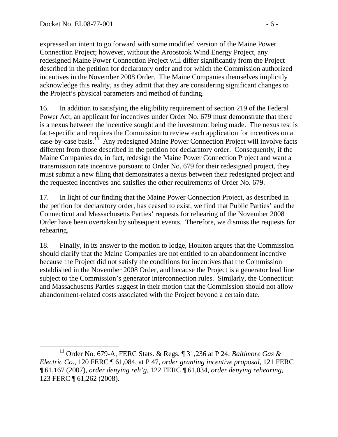expressed an intent to go forward with some modified version of the Maine Power Connection Project; however, without the Aroostook Wind Energy Project, any redesigned Maine Power Connection Project will differ significantly from the Project described in the petition for declaratory order and for which the Commission authorized incentives in the November 2008 Order. The Maine Companies themselves implicitly acknowledge this reality, as they admit that they are considering significant changes to the Project's physical parameters and method of funding.

16. In addition to satisfying the eligibility requirement of section 219 of the Federal Power Act, an applicant for incentives under Order No. 679 must demonstrate that there is a nexus between the incentive sought and the investment being made. The nexus test is fact-specific and requires the Commission to review each application for incentives on a case-by-case basis.**[11](#page-5-0)** Any redesigned Maine Power Connection Project will involve facts different from those described in the petition for declaratory order. Consequently, if the Maine Companies do, in fact, redesign the Maine Power Connection Project and want a transmission rate incentive pursuant to Order No. 679 for their redesigned project, they must submit a new filing that demonstrates a nexus between their redesigned project and the requested incentives and satisfies the other requirements of Order No. 679.

17. In light of our finding that the Maine Power Connection Project, as described in the petition for declaratory order, has ceased to exist, we find that Public Parties' and the Connecticut and Massachusetts Parties' requests for rehearing of the November 2008 Order have been overtaken by subsequent events. Therefore, we dismiss the requests for rehearing.

18. Finally, in its answer to the motion to lodge, Houlton argues that the Commission should clarify that the Maine Companies are not entitled to an abandonment incentive because the Project did not satisfy the conditions for incentives that the Commission established in the November 2008 Order, and because the Project is a generator lead line subject to the Commission's generator interconnection rules. Similarly, the Connecticut and Massachusetts Parties suggest in their motion that the Commission should not allow abandonment-related costs associated with the Project beyond a certain date.

<span id="page-5-0"></span>**<sup>11</sup>** Order No. 679-A, FERC Stats. & Regs. ¶ 31,236 at P 24; *Baltimore Gas & Electric Co*., 120 FERC ¶ 61,084, at P 47, *order granting incentive proposal*, 121 FERC ¶ 61,167 (2007), *order denying reh'g*, 122 FERC ¶ 61,034, *order denying rehearing*, 123 FERC ¶ 61,262 (2008).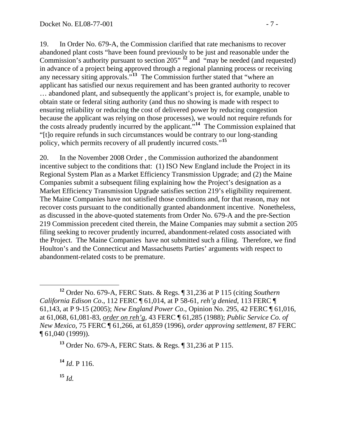19. In Order No. 679-A, the Commission clarified that rate mechanisms to recover abandoned plant costs "have been found previously to be just and reasonable under the Commission's authority pursuant to section 205<sup>", [12](#page-6-0)</sup> and "may be needed (and requested) in advance of a project being approved through a regional planning process or receiving any necessary siting approvals."**[13](#page-6-1)** The Commission further stated that "where an applicant has satisfied our nexus requirement and has been granted authority to recover … abandoned plant, and subsequently the applicant's project is, for example, unable to obtain state or federal siting authority (and thus no showing is made with respect to ensuring reliability or reducing the cost of delivered power by reducing congestion because the applicant was relying on those processes), we would not require refunds for the costs already prudently incurred by the applicant."**[14](#page-6-2)** The Commission explained that "[t]o require refunds in such circumstances would be contrary to our long-standing policy, which permits recovery of all prudently incurred costs."**[15](#page-6-3)**

20. In the November 2008 Order , the Commission authorized the abandonment incentive subject to the conditions that: (1) ISO New England include the Project in its Regional System Plan as a Market Efficiency Transmission Upgrade; and (2) the Maine Companies submit a subsequent filing explaining how the Project's designation as a Market Efficiency Transmission Upgrade satisfies section 219's eligibility requirement. The Maine Companies have not satisfied those conditions and, for that reason, may not recover costs pursuant to the conditionally granted abandonment incentive. Nonetheless, as discussed in the above-quoted statements from Order No. 679-A and the pre-Section 219 Commission precedent cited therein, the Maine Companies may submit a section 205 filing seeking to recover prudently incurred, abandonment-related costs associated with the Project. The Maine Companies have not submitted such a filing. Therefore, we find Houlton's and the Connecticut and Massachusetts Parties' arguments with respect to abandonment-related costs to be premature.

<span id="page-6-2"></span>**<sup>14</sup>** *Id*. P 116.

<span id="page-6-3"></span> $15$  *Id.* 

<span id="page-6-0"></span>**<sup>12</sup>** Order No. 679-A, FERC Stats. & Regs. ¶ 31,236 at P 115 (citing *Southern California Edison Co*., 112 FERC ¶ 61,014, at P 58-61, *reh'g denied*, 113 FERC ¶ 61,143, at P 9-15 (2005); *New England Power Co*., Opinion No. 295, 42 FERC ¶ 61,016, at 61,068, 61,081-83, *order on reh'g*, 43 FERC ¶ 61,285 (1988); *Public Service Co. of New Mexico*, 75 FERC ¶ 61,266, at 61,859 (1996), *order approving settlement*, 87 FERC ¶ 61,040 (1999)).

<span id="page-6-1"></span>**<sup>13</sup>** Order No. 679-A, FERC Stats. & Regs. ¶ 31,236 at P 115.